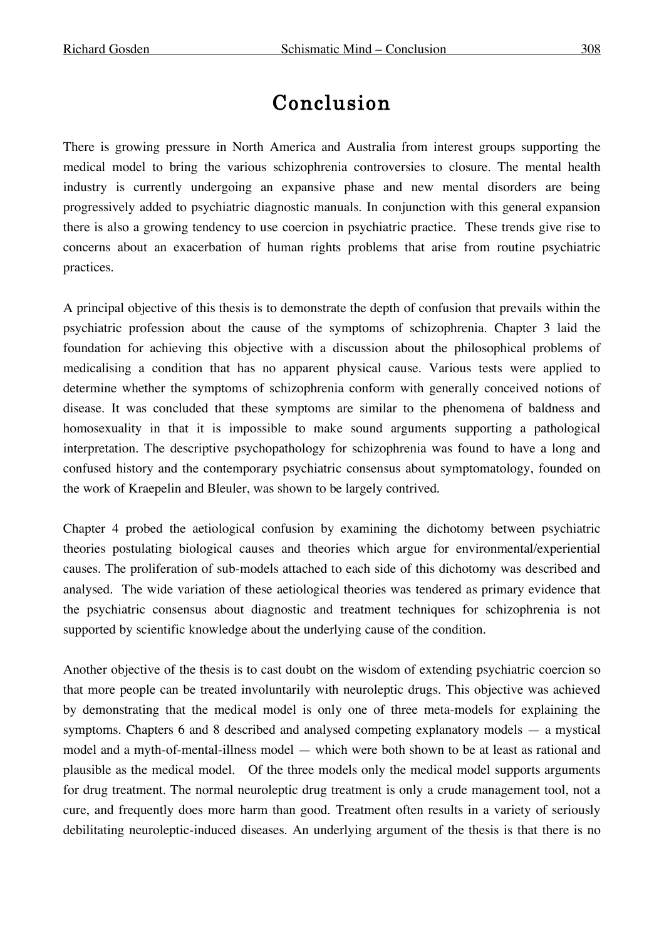## Conclusion

There is growing pressure in North America and Australia from interest groups supporting the medical model to bring the various schizophrenia controversies to closure. The mental health industry is currently undergoing an expansive phase and new mental disorders are being progressively added to psychiatric diagnostic manuals. In conjunction with this general expansion there is also a growing tendency to use coercion in psychiatric practice. These trends give rise to concerns about an exacerbation of human rights problems that arise from routine psychiatric practices.

A principal objective of this thesis is to demonstrate the depth of confusion that prevails within the psychiatric profession about the cause of the symptoms of schizophrenia. Chapter 3 laid the foundation for achieving this objective with a discussion about the philosophical problems of medicalising a condition that has no apparent physical cause. Various tests were applied to determine whether the symptoms of schizophrenia conform with generally conceived notions of disease. It was concluded that these symptoms are similar to the phenomena of baldness and homosexuality in that it is impossible to make sound arguments supporting a pathological interpretation. The descriptive psychopathology for schizophrenia was found to have a long and confused history and the contemporary psychiatric consensus about symptomatology, founded on the work of Kraepelin and Bleuler, was shown to be largely contrived.

Chapter 4 probed the aetiological confusion by examining the dichotomy between psychiatric theories postulating biological causes and theories which argue for environmental/experiential causes. The proliferation of sub-models attached to each side of this dichotomy was described and analysed. The wide variation of these aetiological theories was tendered as primary evidence that the psychiatric consensus about diagnostic and treatment techniques for schizophrenia is not supported by scientific knowledge about the underlying cause of the condition.

Another objective of the thesis is to cast doubt on the wisdom of extending psychiatric coercion so that more people can be treated involuntarily with neuroleptic drugs. This objective was achieved by demonstrating that the medical model is only one of three meta-models for explaining the symptoms. Chapters 6 and 8 described and analysed competing explanatory models — a mystical model and a myth-of-mental-illness model — which were both shown to be at least as rational and plausible as the medical model. Of the three models only the medical model supports arguments for drug treatment. The normal neuroleptic drug treatment is only a crude management tool, not a cure, and frequently does more harm than good. Treatment often results in a variety of seriously debilitating neuroleptic-induced diseases. An underlying argument of the thesis is that there is no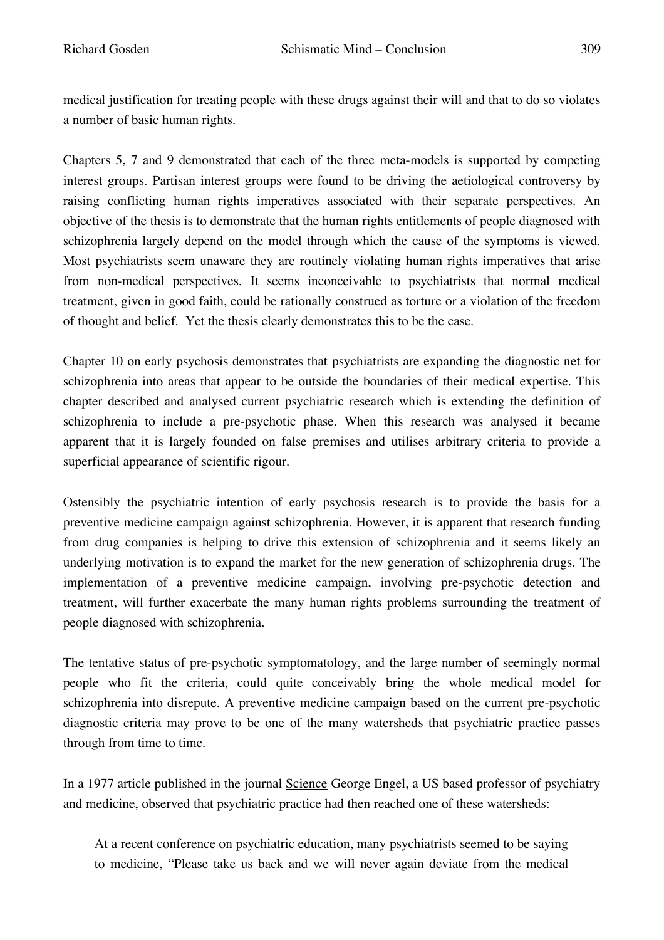medical justification for treating people with these drugs against their will and that to do so violates a number of basic human rights.

Chapters 5, 7 and 9 demonstrated that each of the three meta-models is supported by competing interest groups. Partisan interest groups were found to be driving the aetiological controversy by raising conflicting human rights imperatives associated with their separate perspectives. An objective of the thesis is to demonstrate that the human rights entitlements of people diagnosed with schizophrenia largely depend on the model through which the cause of the symptoms is viewed. Most psychiatrists seem unaware they are routinely violating human rights imperatives that arise from non-medical perspectives. It seems inconceivable to psychiatrists that normal medical treatment, given in good faith, could be rationally construed as torture or a violation of the freedom of thought and belief. Yet the thesis clearly demonstrates this to be the case.

Chapter 10 on early psychosis demonstrates that psychiatrists are expanding the diagnostic net for schizophrenia into areas that appear to be outside the boundaries of their medical expertise. This chapter described and analysed current psychiatric research which is extending the definition of schizophrenia to include a pre-psychotic phase. When this research was analysed it became apparent that it is largely founded on false premises and utilises arbitrary criteria to provide a superficial appearance of scientific rigour.

Ostensibly the psychiatric intention of early psychosis research is to provide the basis for a preventive medicine campaign against schizophrenia. However, it is apparent that research funding from drug companies is helping to drive this extension of schizophrenia and it seems likely an underlying motivation is to expand the market for the new generation of schizophrenia drugs. The implementation of a preventive medicine campaign, involving pre-psychotic detection and treatment, will further exacerbate the many human rights problems surrounding the treatment of people diagnosed with schizophrenia.

The tentative status of pre-psychotic symptomatology, and the large number of seemingly normal people who fit the criteria, could quite conceivably bring the whole medical model for schizophrenia into disrepute. A preventive medicine campaign based on the current pre-psychotic diagnostic criteria may prove to be one of the many watersheds that psychiatric practice passes through from time to time.

In a 1977 article published in the journal <u>Science</u> George Engel, a US based professor of psychiatry and medicine, observed that psychiatric practice had then reached one of these watersheds:

At a recent conference on psychiatric education, many psychiatrists seemed to be saying to medicine, "Please take us back and we will never again deviate from the medical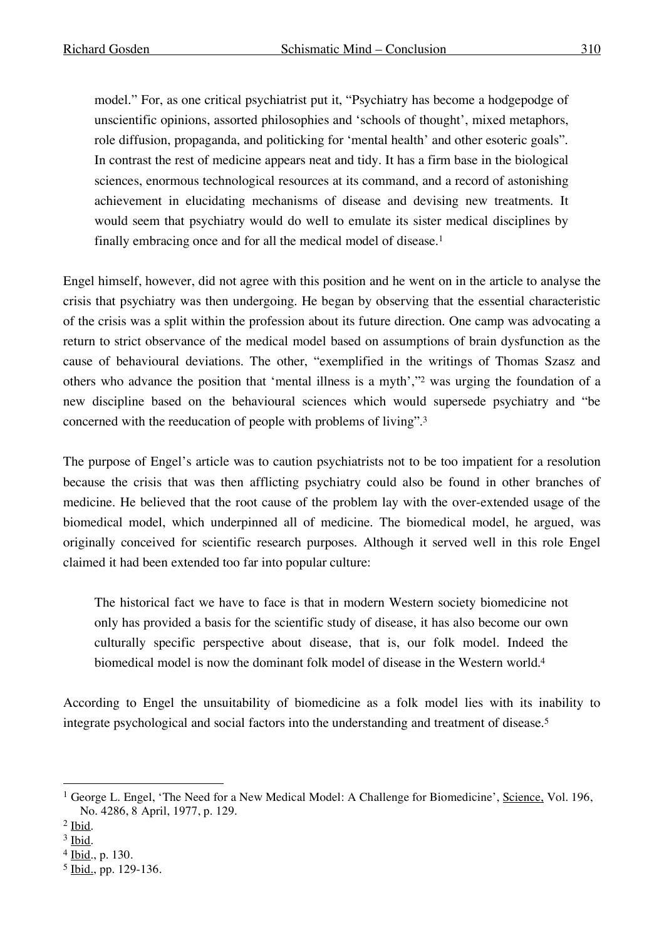model." For, as one critical psychiatrist put it, "Psychiatry has become a hodgepodge of unscientific opinions, assorted philosophies and 'schools of thought', mixed metaphors, role diffusion, propaganda, and politicking for 'mental health' and other esoteric goals". In contrast the rest of medicine appears neat and tidy. It has a firm base in the biological sciences, enormous technological resources at its command, and a record of astonishing achievement in elucidating mechanisms of disease and devising new treatments. It would seem that psychiatry would do well to emulate its sister medical disciplines by finally embracing once and for all the medical model of disease.<sup>1</sup>

Engel himself, however, did not agree with this position and he went on in the article to analyse the crisis that psychiatry was then undergoing. He began by observing that the essential characteristic of the crisis was a split within the profession about its future direction. One camp was advocating a return to strict observance of the medical model based on assumptions of brain dysfunction as the cause of behavioural deviations. The other, "exemplified in the writings of Thomas Szasz and others who advance the position that 'mental illness is a myth',"2 was urging the foundation of a new discipline based on the behavioural sciences which would supersede psychiatry and "be concerned with the reeducation of people with problems of living". 3

The purpose of Engel's article was to caution psychiatrists not to be too impatient for a resolution because the crisis that was then afflicting psychiatry could also be found in other branches of medicine. He believed that the root cause of the problem lay with the over-extended usage of the biomedical model, which underpinned all of medicine. The biomedical model, he argued, was originally conceived for scientific research purposes. Although it served well in this role Engel claimed it had been extended too far into popular culture:

The historical fact we have to face is that in modern Western society biomedicine not only has provided a basis for the scientific study of disease, it has also become our own culturally specific perspective about disease, that is, our folk model. Indeed the biomedical model is now the dominant folk model of disease in the Western world. 4

According to Engel the unsuitability of biomedicine as a folk model lies with its inability to integrate psychological and social factors into the understanding and treatment of disease.5

<sup>&</sup>lt;sup>1</sup> George L. Engel, 'The Need for a New Medical Model: A Challenge for Biomedicine', Science, Vol. 196, No. 4286, 8 April, 1977, p. 129.

<sup>2</sup> Ibid.

<sup>3</sup> Ibid.

<sup>4</sup> Ibid., p. 130.

<sup>5</sup> Ibid., pp. 129-136.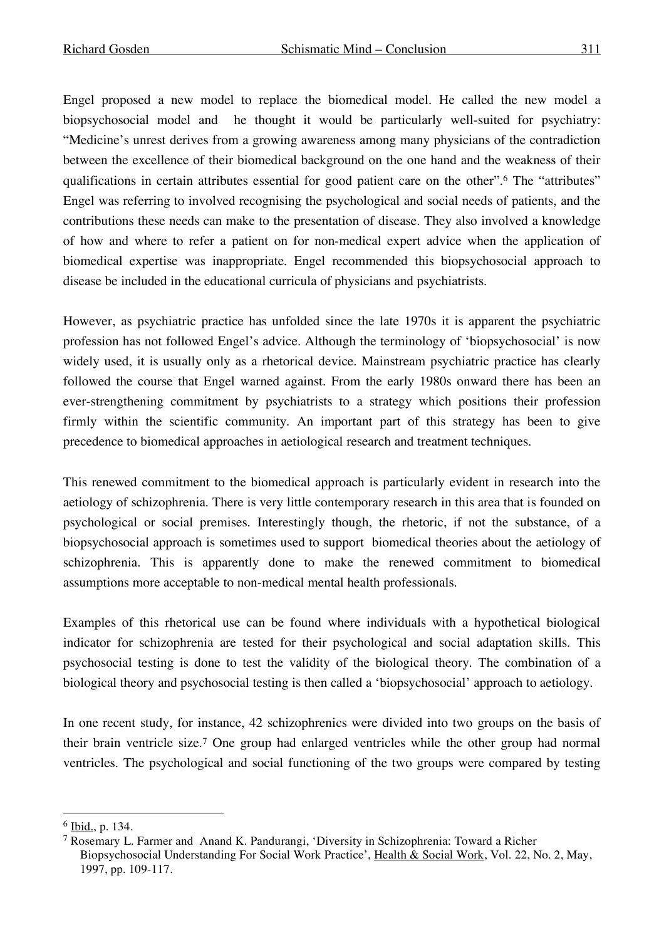Engel proposed a new model to replace the biomedical model. He called the new model a biopsychosocial model and he thought it would be particularly well-suited for psychiatry: "Medicine's unrest derives from a growing awareness among many physicians of the contradiction between the excellence of their biomedical background on the one hand and the weakness of their qualifications in certain attributes essential for good patient care on the other".6 The "attributes" Engel was referring to involved recognising the psychological and social needs of patients, and the contributions these needs can make to the presentation of disease. They also involved a knowledge of how and where to refer a patient on for non-medical expert advice when the application of biomedical expertise was inappropriate. Engel recommended this biopsychosocial approach to disease be included in the educational curricula of physicians and psychiatrists.

However, as psychiatric practice has unfolded since the late 1970s it is apparent the psychiatric profession has not followed Engel's advice. Although the terminology of 'biopsychosocial' is now widely used, it is usually only as a rhetorical device. Mainstream psychiatric practice has clearly followed the course that Engel warned against. From the early 1980s onward there has been an ever-strengthening commitment by psychiatrists to a strategy which positions their profession firmly within the scientific community. An important part of this strategy has been to give precedence to biomedical approaches in aetiological research and treatment techniques.

This renewed commitment to the biomedical approach is particularly evident in research into the aetiology of schizophrenia. There is very little contemporary research in this area that is founded on psychological or social premises. Interestingly though, the rhetoric, if not the substance, of a biopsychosocial approach is sometimes used to support biomedical theories about the aetiology of schizophrenia. This is apparently done to make the renewed commitment to biomedical assumptions more acceptable to non-medical mental health professionals.

Examples of this rhetorical use can be found where individuals with a hypothetical biological indicator for schizophrenia are tested for their psychological and social adaptation skills. This psychosocial testing is done to test the validity of the biological theory. The combination of a biological theory and psychosocial testing is then called a 'biopsychosocial' approach to aetiology.

In one recent study, for instance, 42 schizophrenics were divided into two groups on the basis of their brain ventricle size.7 One group had enlarged ventricles while the other group had normal ventricles. The psychological and social functioning of the two groups were compared by testing

 <sup>6</sup> Ibid., p. 134.

<sup>7</sup> Rosemary L. Farmer and Anand K. Pandurangi, 'Diversity in Schizophrenia: Toward a Richer Biopsychosocial Understanding For Social Work Practice', Health & Social Work, Vol. 22, No. 2, May, 1997, pp. 109-117.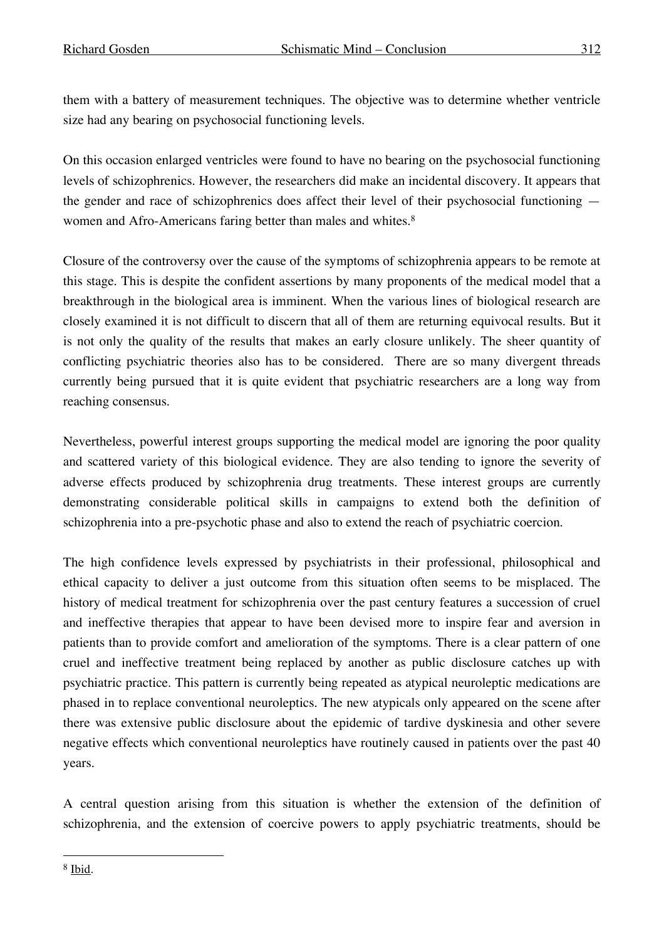them with a battery of measurement techniques. The objective was to determine whether ventricle size had any bearing on psychosocial functioning levels.

On this occasion enlarged ventricles were found to have no bearing on the psychosocial functioning levels of schizophrenics. However, the researchers did make an incidental discovery. It appears that the gender and race of schizophrenics does affect their level of their psychosocial functioning women and Afro-Americans faring better than males and whites.<sup>8</sup>

Closure of the controversy over the cause of the symptoms of schizophrenia appears to be remote at this stage. This is despite the confident assertions by many proponents of the medical model that a breakthrough in the biological area is imminent. When the various lines of biological research are closely examined it is not difficult to discern that all of them are returning equivocal results. But it is not only the quality of the results that makes an early closure unlikely. The sheer quantity of conflicting psychiatric theories also has to be considered. There are so many divergent threads currently being pursued that it is quite evident that psychiatric researchers are a long way from reaching consensus.

Nevertheless, powerful interest groups supporting the medical model are ignoring the poor quality and scattered variety of this biological evidence. They are also tending to ignore the severity of adverse effects produced by schizophrenia drug treatments. These interest groups are currently demonstrating considerable political skills in campaigns to extend both the definition of schizophrenia into a pre-psychotic phase and also to extend the reach of psychiatric coercion.

The high confidence levels expressed by psychiatrists in their professional, philosophical and ethical capacity to deliver a just outcome from this situation often seems to be misplaced. The history of medical treatment for schizophrenia over the past century features a succession of cruel and ineffective therapies that appear to have been devised more to inspire fear and aversion in patients than to provide comfort and amelioration of the symptoms. There is a clear pattern of one cruel and ineffective treatment being replaced by another as public disclosure catches up with psychiatric practice. This pattern is currently being repeated as atypical neuroleptic medications are phased in to replace conventional neuroleptics. The new atypicals only appeared on the scene after there was extensive public disclosure about the epidemic of tardive dyskinesia and other severe negative effects which conventional neuroleptics have routinely caused in patients over the past 40 years.

A central question arising from this situation is whether the extension of the definition of schizophrenia, and the extension of coercive powers to apply psychiatric treatments, should be

 <sup>8</sup> Ibid.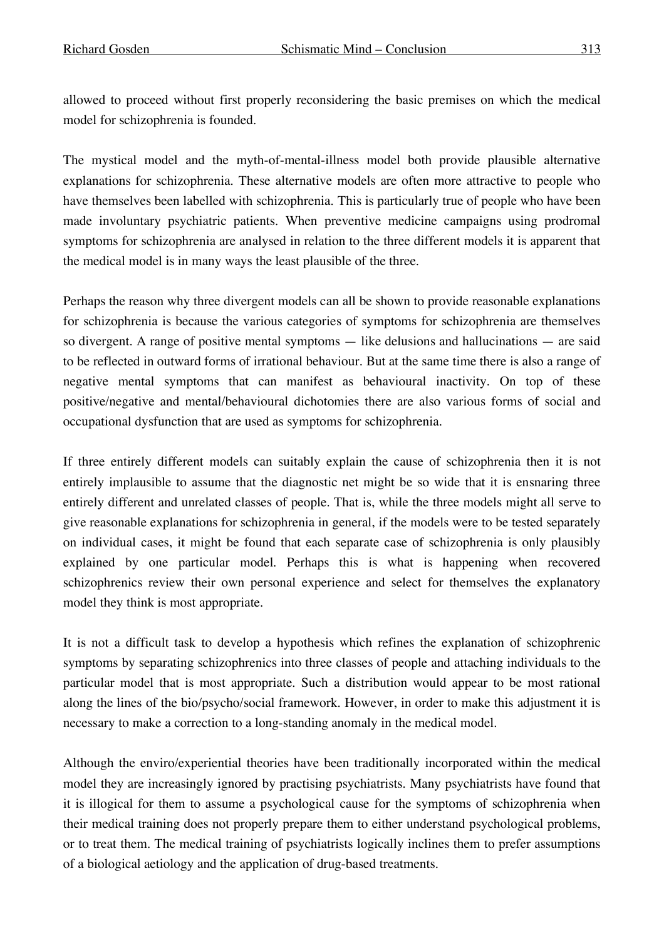allowed to proceed without first properly reconsidering the basic premises on which the medical model for schizophrenia is founded.

The mystical model and the myth-of-mental-illness model both provide plausible alternative explanations for schizophrenia. These alternative models are often more attractive to people who have themselves been labelled with schizophrenia. This is particularly true of people who have been made involuntary psychiatric patients. When preventive medicine campaigns using prodromal symptoms for schizophrenia are analysed in relation to the three different models it is apparent that the medical model is in many ways the least plausible of the three.

Perhaps the reason why three divergent models can all be shown to provide reasonable explanations for schizophrenia is because the various categories of symptoms for schizophrenia are themselves so divergent. A range of positive mental symptoms — like delusions and hallucinations — are said to be reflected in outward forms of irrational behaviour. But at the same time there is also a range of negative mental symptoms that can manifest as behavioural inactivity. On top of these positive/negative and mental/behavioural dichotomies there are also various forms of social and occupational dysfunction that are used as symptoms for schizophrenia.

If three entirely different models can suitably explain the cause of schizophrenia then it is not entirely implausible to assume that the diagnostic net might be so wide that it is ensnaring three entirely different and unrelated classes of people. That is, while the three models might all serve to give reasonable explanations for schizophrenia in general, if the models were to be tested separately on individual cases, it might be found that each separate case of schizophrenia is only plausibly explained by one particular model. Perhaps this is what is happening when recovered schizophrenics review their own personal experience and select for themselves the explanatory model they think is most appropriate.

It is not a difficult task to develop a hypothesis which refines the explanation of schizophrenic symptoms by separating schizophrenics into three classes of people and attaching individuals to the particular model that is most appropriate. Such a distribution would appear to be most rational along the lines of the bio/psycho/social framework. However, in order to make this adjustment it is necessary to make a correction to a long-standing anomaly in the medical model.

Although the enviro/experiential theories have been traditionally incorporated within the medical model they are increasingly ignored by practising psychiatrists. Many psychiatrists have found that it is illogical for them to assume a psychological cause for the symptoms of schizophrenia when their medical training does not properly prepare them to either understand psychological problems, or to treat them. The medical training of psychiatrists logically inclines them to prefer assumptions of a biological aetiology and the application of drug-based treatments.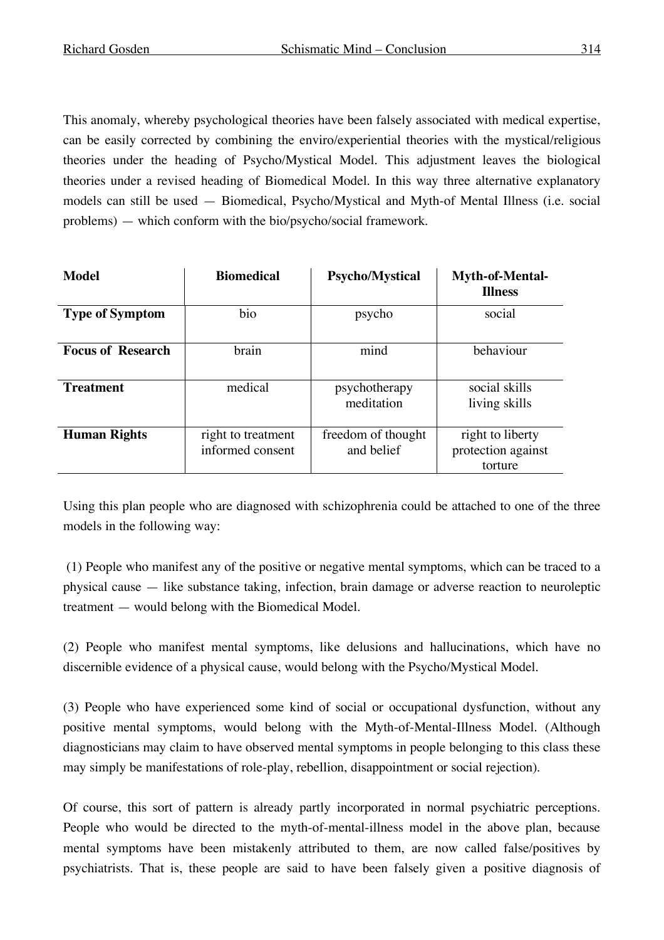This anomaly, whereby psychological theories have been falsely associated with medical expertise, can be easily corrected by combining the enviro/experiential theories with the mystical/religious theories under the heading of Psycho/Mystical Model. This adjustment leaves the biological theories under a revised heading of Biomedical Model. In this way three alternative explanatory models can still be used — Biomedical, Psycho/Mystical and Myth-of Mental Illness (i.e. social problems) — which conform with the bio/psycho/social framework.

| Model                    | <b>Biomedical</b>                      | <b>Psycho/Mystical</b>           | <b>Myth-of-Mental-</b><br><b>Illness</b>          |
|--------------------------|----------------------------------------|----------------------------------|---------------------------------------------------|
| <b>Type of Symptom</b>   | bio                                    | psycho                           | social                                            |
| <b>Focus of Research</b> | brain                                  | mind                             | behaviour                                         |
| <b>Treatment</b>         | medical                                | psychotherapy<br>meditation      | social skills<br>living skills                    |
| <b>Human Rights</b>      | right to treatment<br>informed consent | freedom of thought<br>and belief | right to liberty<br>protection against<br>torture |

Using this plan people who are diagnosed with schizophrenia could be attached to one of the three models in the following way:

(1) People who manifest any of the positive or negative mental symptoms, which can be traced to a physical cause — like substance taking, infection, brain damage or adverse reaction to neuroleptic treatment — would belong with the Biomedical Model.

(2) People who manifest mental symptoms, like delusions and hallucinations, which have no discernible evidence of a physical cause, would belong with the Psycho/Mystical Model.

(3) People who have experienced some kind of social or occupational dysfunction, without any positive mental symptoms, would belong with the Myth-of-Mental-Illness Model. (Although diagnosticians may claim to have observed mental symptoms in people belonging to this class these may simply be manifestations of role-play, rebellion, disappointment or social rejection).

Of course, this sort of pattern is already partly incorporated in normal psychiatric perceptions. People who would be directed to the myth-of-mental-illness model in the above plan, because mental symptoms have been mistakenly attributed to them, are now called false/positives by psychiatrists. That is, these people are said to have been falsely given a positive diagnosis of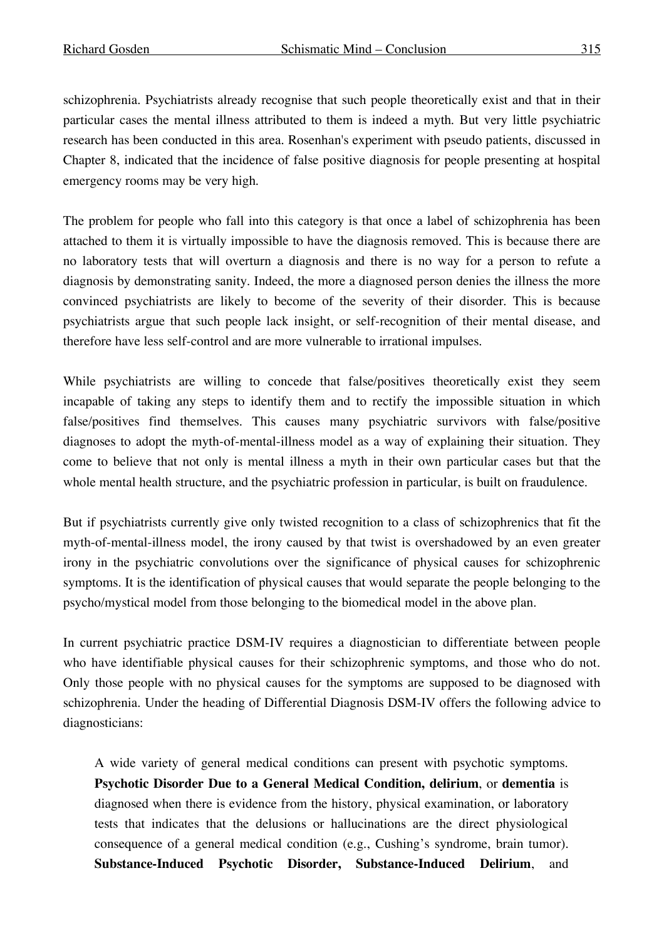schizophrenia. Psychiatrists already recognise that such people theoretically exist and that in their particular cases the mental illness attributed to them is indeed a myth. But very little psychiatric research has been conducted in this area. Rosenhan's experiment with pseudo patients, discussed in Chapter 8, indicated that the incidence of false positive diagnosis for people presenting at hospital emergency rooms may be very high.

The problem for people who fall into this category is that once a label of schizophrenia has been attached to them it is virtually impossible to have the diagnosis removed. This is because there are no laboratory tests that will overturn a diagnosis and there is no way for a person to refute a diagnosis by demonstrating sanity. Indeed, the more a diagnosed person denies the illness the more convinced psychiatrists are likely to become of the severity of their disorder. This is because psychiatrists argue that such people lack insight, or self-recognition of their mental disease, and therefore have less self-control and are more vulnerable to irrational impulses.

While psychiatrists are willing to concede that false/positives theoretically exist they seem incapable of taking any steps to identify them and to rectify the impossible situation in which false/positives find themselves. This causes many psychiatric survivors with false/positive diagnoses to adopt the myth-of-mental-illness model as a way of explaining their situation. They come to believe that not only is mental illness a myth in their own particular cases but that the whole mental health structure, and the psychiatric profession in particular, is built on fraudulence.

But if psychiatrists currently give only twisted recognition to a class of schizophrenics that fit the myth-of-mental-illness model, the irony caused by that twist is overshadowed by an even greater irony in the psychiatric convolutions over the significance of physical causes for schizophrenic symptoms. It is the identification of physical causes that would separate the people belonging to the psycho/mystical model from those belonging to the biomedical model in the above plan.

In current psychiatric practice DSM-IV requires a diagnostician to differentiate between people who have identifiable physical causes for their schizophrenic symptoms, and those who do not. Only those people with no physical causes for the symptoms are supposed to be diagnosed with schizophrenia. Under the heading of Differential Diagnosis DSM-IV offers the following advice to diagnosticians:

A wide variety of general medical conditions can present with psychotic symptoms. **Psychotic Disorder Due to a General Medical Condition, delirium**, or **dementia** is diagnosed when there is evidence from the history, physical examination, or laboratory tests that indicates that the delusions or hallucinations are the direct physiological consequence of a general medical condition (e.g., Cushing's syndrome, brain tumor). **Substance-Induced Psychotic Disorder, Substance-Induced Delirium**, and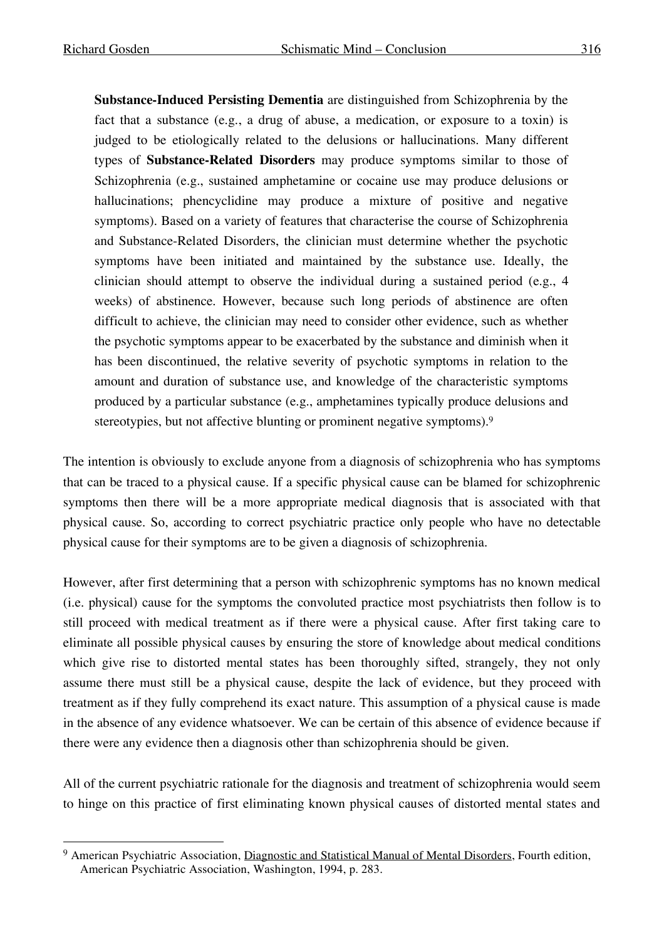**Substance-Induced Persisting Dementia** are distinguished from Schizophrenia by the fact that a substance (e.g., a drug of abuse, a medication, or exposure to a toxin) is judged to be etiologically related to the delusions or hallucinations. Many different types of **Substance-Related Disorders** may produce symptoms similar to those of Schizophrenia (e.g., sustained amphetamine or cocaine use may produce delusions or hallucinations; phencyclidine may produce a mixture of positive and negative symptoms). Based on a variety of features that characterise the course of Schizophrenia and Substance-Related Disorders, the clinician must determine whether the psychotic symptoms have been initiated and maintained by the substance use. Ideally, the clinician should attempt to observe the individual during a sustained period (e.g., 4 weeks) of abstinence. However, because such long periods of abstinence are often difficult to achieve, the clinician may need to consider other evidence, such as whether the psychotic symptoms appear to be exacerbated by the substance and diminish when it has been discontinued, the relative severity of psychotic symptoms in relation to the amount and duration of substance use, and knowledge of the characteristic symptoms produced by a particular substance (e.g., amphetamines typically produce delusions and stereotypies, but not affective blunting or prominent negative symptoms).<sup>9</sup>

The intention is obviously to exclude anyone from a diagnosis of schizophrenia who has symptoms that can be traced to a physical cause. If a specific physical cause can be blamed for schizophrenic symptoms then there will be a more appropriate medical diagnosis that is associated with that physical cause. So, according to correct psychiatric practice only people who have no detectable physical cause for their symptoms are to be given a diagnosis of schizophrenia.

However, after first determining that a person with schizophrenic symptoms has no known medical (i.e. physical) cause for the symptoms the convoluted practice most psychiatrists then follow is to still proceed with medical treatment as if there were a physical cause. After first taking care to eliminate all possible physical causes by ensuring the store of knowledge about medical conditions which give rise to distorted mental states has been thoroughly sifted, strangely, they not only assume there must still be a physical cause, despite the lack of evidence, but they proceed with treatment as if they fully comprehend its exact nature. This assumption of a physical cause is made in the absence of any evidence whatsoever. We can be certain of this absence of evidence because if there were any evidence then a diagnosis other than schizophrenia should be given.

All of the current psychiatric rationale for the diagnosis and treatment of schizophrenia would seem to hinge on this practice of first eliminating known physical causes of distorted mental states and

<sup>&</sup>lt;sup>9</sup> American Psychiatric Association, Diagnostic and Statistical Manual of Mental Disorders, Fourth edition, American Psychiatric Association, Washington, 1994, p. 283.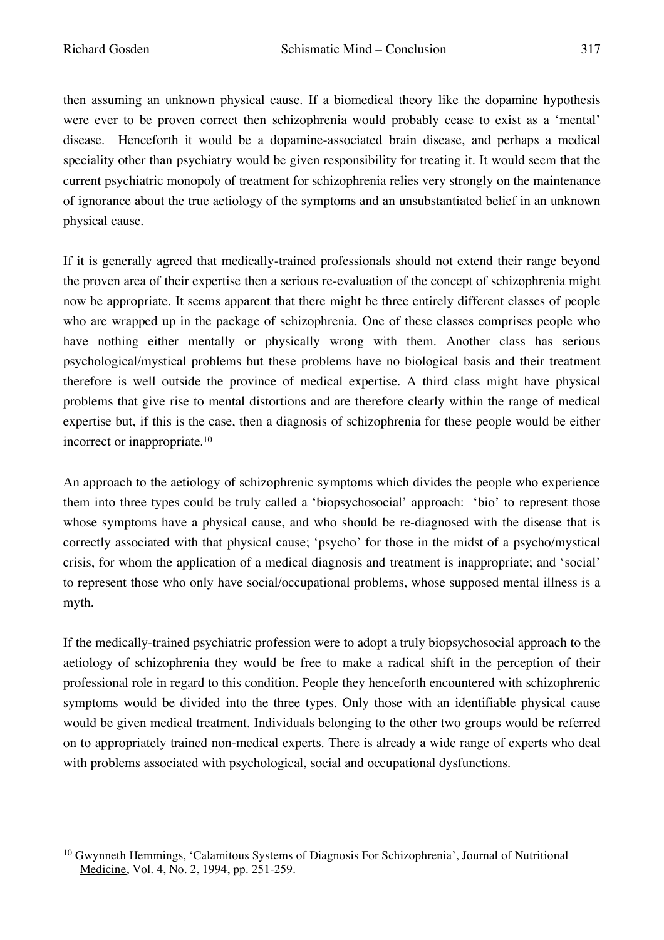then assuming an unknown physical cause. If a biomedical theory like the dopamine hypothesis were ever to be proven correct then schizophrenia would probably cease to exist as a 'mental' disease. Henceforth it would be a dopamine-associated brain disease, and perhaps a medical speciality other than psychiatry would be given responsibility for treating it. It would seem that the current psychiatric monopoly of treatment for schizophrenia relies very strongly on the maintenance of ignorance about the true aetiology of the symptoms and an unsubstantiated belief in an unknown physical cause.

If it is generally agreed that medically-trained professionals should not extend their range beyond the proven area of their expertise then a serious re-evaluation of the concept of schizophrenia might now be appropriate. It seems apparent that there might be three entirely different classes of people who are wrapped up in the package of schizophrenia. One of these classes comprises people who have nothing either mentally or physically wrong with them. Another class has serious psychological/mystical problems but these problems have no biological basis and their treatment therefore is well outside the province of medical expertise. A third class might have physical problems that give rise to mental distortions and are therefore clearly within the range of medical expertise but, if this is the case, then a diagnosis of schizophrenia for these people would be either incorrect or inappropriate. 10

An approach to the aetiology of schizophrenic symptoms which divides the people who experience them into three types could be truly called a 'biopsychosocial' approach: 'bio' to represent those whose symptoms have a physical cause, and who should be re-diagnosed with the disease that is correctly associated with that physical cause; 'psycho' for those in the midst of a psycho/mystical crisis, for whom the application of a medical diagnosis and treatment is inappropriate; and 'social' to represent those who only have social/occupational problems, whose supposed mental illness is a myth.

If the medically-trained psychiatric profession were to adopt a truly biopsychosocial approach to the aetiology of schizophrenia they would be free to make a radical shift in the perception of their professional role in regard to this condition. People they henceforth encountered with schizophrenic symptoms would be divided into the three types. Only those with an identifiable physical cause would be given medical treatment. Individuals belonging to the other two groups would be referred on to appropriately trained non-medical experts. There is already a wide range of experts who deal with problems associated with psychological, social and occupational dysfunctions.

<sup>&</sup>lt;sup>10</sup> Gwynneth Hemmings, 'Calamitous Systems of Diagnosis For Schizophrenia', Journal of Nutritional Medicine, Vol. 4, No. 2, 1994, pp. 251-259.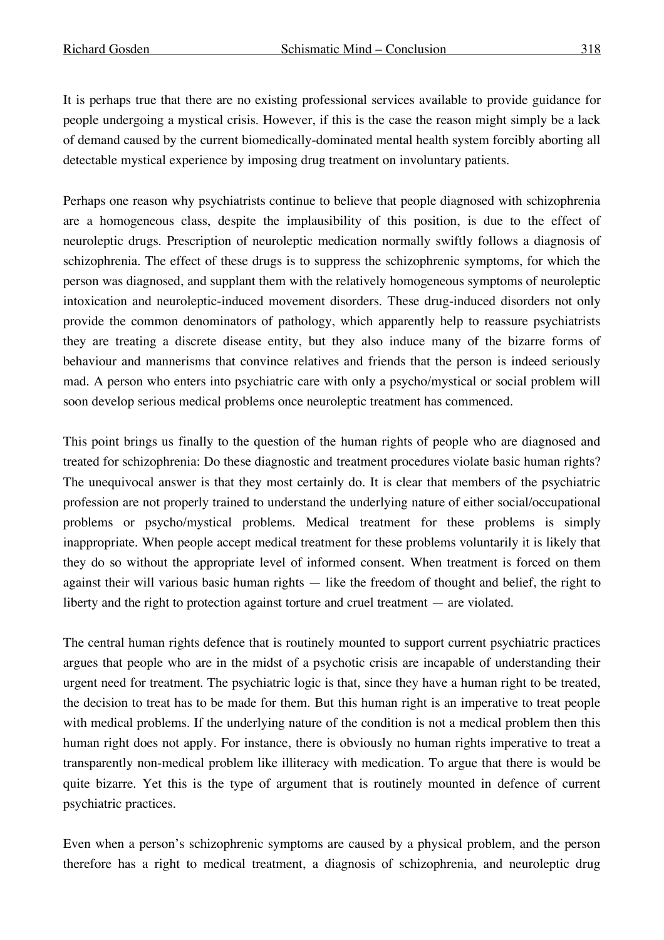It is perhaps true that there are no existing professional services available to provide guidance for people undergoing a mystical crisis. However, if this is the case the reason might simply be a lack of demand caused by the current biomedically-dominated mental health system forcibly aborting all detectable mystical experience by imposing drug treatment on involuntary patients.

Perhaps one reason why psychiatrists continue to believe that people diagnosed with schizophrenia are a homogeneous class, despite the implausibility of this position, is due to the effect of neuroleptic drugs. Prescription of neuroleptic medication normally swiftly follows a diagnosis of schizophrenia. The effect of these drugs is to suppress the schizophrenic symptoms, for which the person was diagnosed, and supplant them with the relatively homogeneous symptoms of neuroleptic intoxication and neuroleptic-induced movement disorders. These drug-induced disorders not only provide the common denominators of pathology, which apparently help to reassure psychiatrists they are treating a discrete disease entity, but they also induce many of the bizarre forms of behaviour and mannerisms that convince relatives and friends that the person is indeed seriously mad. A person who enters into psychiatric care with only a psycho/mystical or social problem will soon develop serious medical problems once neuroleptic treatment has commenced.

This point brings us finally to the question of the human rights of people who are diagnosed and treated for schizophrenia: Do these diagnostic and treatment procedures violate basic human rights? The unequivocal answer is that they most certainly do. It is clear that members of the psychiatric profession are not properly trained to understand the underlying nature of either social/occupational problems or psycho/mystical problems. Medical treatment for these problems is simply inappropriate. When people accept medical treatment for these problems voluntarily it is likely that they do so without the appropriate level of informed consent. When treatment is forced on them against their will various basic human rights — like the freedom of thought and belief, the right to liberty and the right to protection against torture and cruel treatment — are violated.

The central human rights defence that is routinely mounted to support current psychiatric practices argues that people who are in the midst of a psychotic crisis are incapable of understanding their urgent need for treatment. The psychiatric logic is that, since they have a human right to be treated, the decision to treat has to be made for them. But this human right is an imperative to treat people with medical problems. If the underlying nature of the condition is not a medical problem then this human right does not apply. For instance, there is obviously no human rights imperative to treat a transparently non-medical problem like illiteracy with medication. To argue that there is would be quite bizarre. Yet this is the type of argument that is routinely mounted in defence of current psychiatric practices.

Even when a person's schizophrenic symptoms are caused by a physical problem, and the person therefore has a right to medical treatment, a diagnosis of schizophrenia, and neuroleptic drug